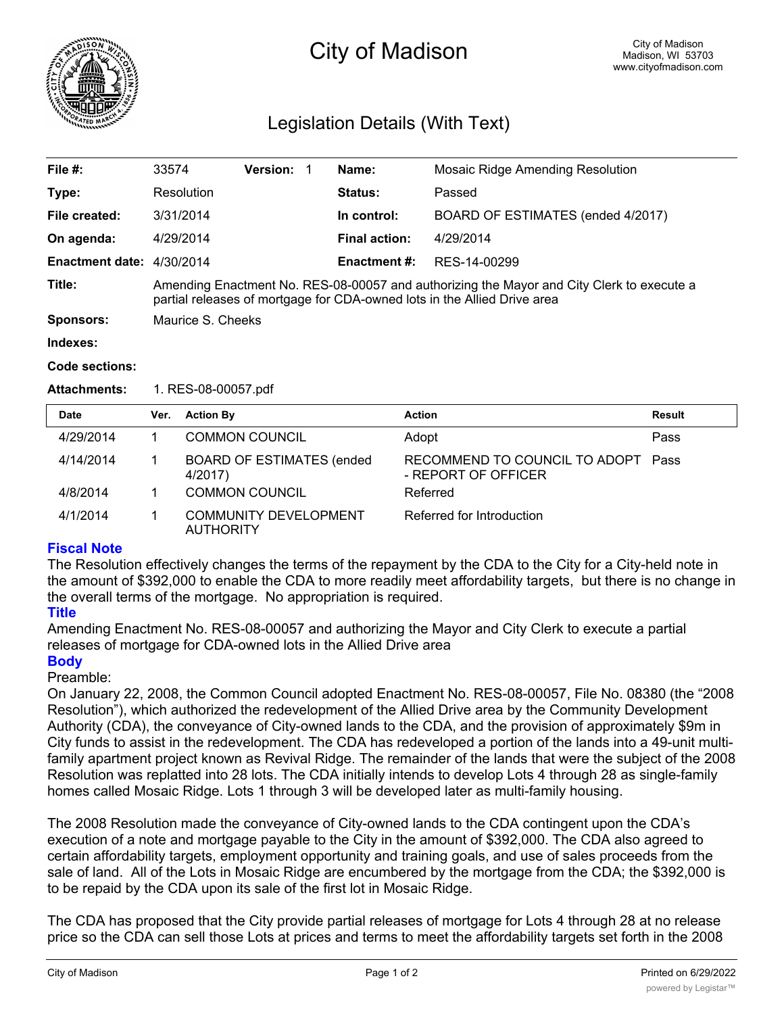

# City of Madison

# Legislation Details (With Text)

| File #:                   | 33574                                                                                                                                                                 | <b>Version:</b> | Name:                | <b>Mosaic Ridge Amending Resolution</b> |  |
|---------------------------|-----------------------------------------------------------------------------------------------------------------------------------------------------------------------|-----------------|----------------------|-----------------------------------------|--|
| Type:                     | Resolution                                                                                                                                                            |                 | <b>Status:</b>       | Passed                                  |  |
| File created:             | 3/31/2014                                                                                                                                                             |                 | In control:          | BOARD OF ESTIMATES (ended 4/2017)       |  |
| On agenda:                | 4/29/2014                                                                                                                                                             |                 | <b>Final action:</b> | 4/29/2014                               |  |
| Enactment date: 4/30/2014 |                                                                                                                                                                       |                 | <b>Enactment #:</b>  | RES-14-00299                            |  |
| Title:                    | Amending Enactment No. RES-08-00057 and authorizing the Mayor and City Clerk to execute a<br>partial releases of mortgage for CDA-owned lots in the Allied Drive area |                 |                      |                                         |  |
| Sponsors:                 | Maurice S. Cheeks                                                                                                                                                     |                 |                      |                                         |  |
| Indexes:                  |                                                                                                                                                                       |                 |                      |                                         |  |

#### **Code sections:**

**Attachments:** 1. RES-08-00057.pdf

| <b>Date</b> | Ver. | <b>Action By</b>                                 | <b>Action</b>                                        | Result |
|-------------|------|--------------------------------------------------|------------------------------------------------------|--------|
| 4/29/2014   |      | <b>COMMON COUNCIL</b>                            | Adopt                                                | Pass   |
| 4/14/2014   |      | <b>BOARD OF ESTIMATES (ended)</b><br>4/2017)     | RECOMMEND TO COUNCIL TO ADOPT<br>- REPORT OF OFFICER | Pass   |
| 4/8/2014    |      | <b>COMMON COUNCIL</b>                            | Referred                                             |        |
| 4/1/2014    |      | <b>COMMUNITY DEVELOPMENT</b><br><b>AUTHORITY</b> | Referred for Introduction                            |        |

## **Fiscal Note**

The Resolution effectively changes the terms of the repayment by the CDA to the City for a City-held note in the amount of \$392,000 to enable the CDA to more readily meet affordability targets, but there is no change in the overall terms of the mortgage. No appropriation is required.

### **Title**

Amending Enactment No. RES-08-00057 and authorizing the Mayor and City Clerk to execute a partial releases of mortgage for CDA-owned lots in the Allied Drive area

### **Body**

### Preamble:

On January 22, 2008, the Common Council adopted Enactment No. RES-08-00057, File No. 08380 (the "2008 Resolution"), which authorized the redevelopment of the Allied Drive area by the Community Development Authority (CDA), the conveyance of City-owned lands to the CDA, and the provision of approximately \$9m in City funds to assist in the redevelopment. The CDA has redeveloped a portion of the lands into a 49-unit multifamily apartment project known as Revival Ridge. The remainder of the lands that were the subject of the 2008 Resolution was replatted into 28 lots. The CDA initially intends to develop Lots 4 through 28 as single-family homes called Mosaic Ridge. Lots 1 through 3 will be developed later as multi-family housing.

The 2008 Resolution made the conveyance of City-owned lands to the CDA contingent upon the CDA's execution of a note and mortgage payable to the City in the amount of \$392,000. The CDA also agreed to certain affordability targets, employment opportunity and training goals, and use of sales proceeds from the sale of land. All of the Lots in Mosaic Ridge are encumbered by the mortgage from the CDA; the \$392,000 is to be repaid by the CDA upon its sale of the first lot in Mosaic Ridge.

The CDA has proposed that the City provide partial releases of mortgage for Lots 4 through 28 at no release price so the CDA can sell those Lots at prices and terms to meet the affordability targets set forth in the 2008